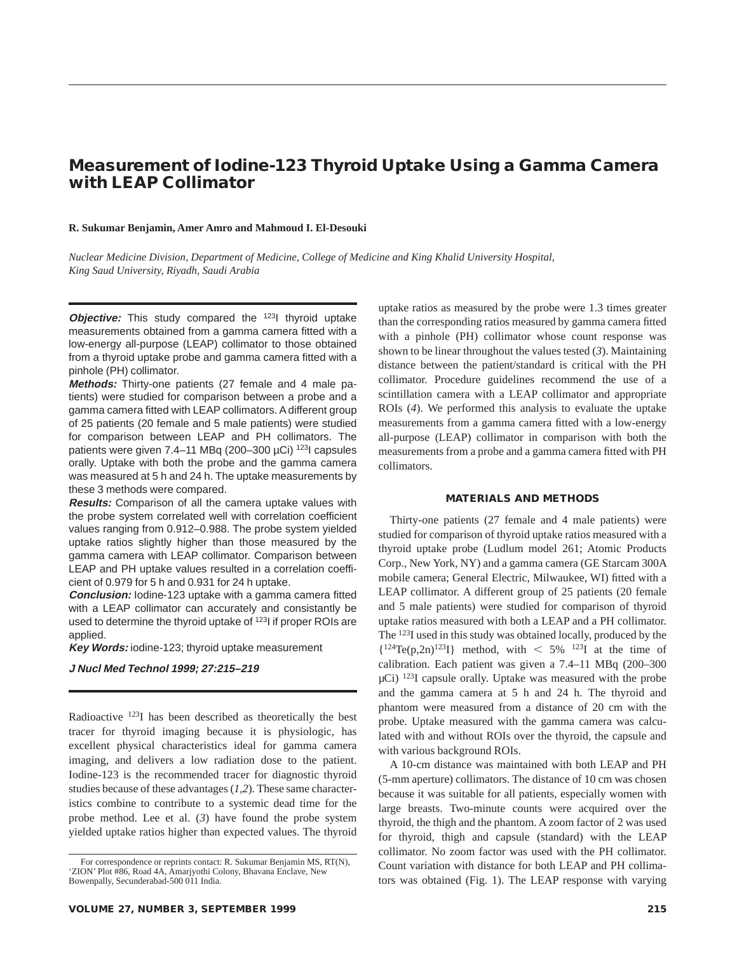# **Measurement of Iodine-123 Thyroid Uptake Using a Gamma Camera with LEAP Collimator**

### **R. Sukumar Benjamin, Amer Amro and Mahmoud I. El-Desouki**

*Nuclear Medicine Division, Department of Medicine, College of Medicine and King Khalid University Hospital, King Saud University, Riyadh, Saudi Arabia*

**Objective:** This study compared the <sup>123</sup>I thyroid uptake measurements obtained from a gamma camera fitted with a low-energy all-purpose (LEAP) collimator to those obtained from a thyroid uptake probe and gamma camera fitted with a pinhole (PH) collimator.

**Methods:** Thirty-one patients (27 female and 4 male patients) were studied for comparison between a probe and a gamma camera fitted with LEAP collimators. A different group of 25 patients (20 female and 5 male patients) were studied for comparison between LEAP and PH collimators. The patients were given 7.4–11 MBq (200–300  $\mu$ Ci)<sup>123</sup>l capsules orally. Uptake with both the probe and the gamma camera was measured at 5 h and 24 h. The uptake measurements by these 3 methods were compared.

**Results:** Comparison of all the camera uptake values with the probe system correlated well with correlation coefficient values ranging from 0.912–0.988. The probe system yielded uptake ratios slightly higher than those measured by the gamma camera with LEAP collimator. Comparison between LEAP and PH uptake values resulted in a correlation coefficient of 0.979 for 5 h and 0.931 for 24 h uptake.

**Conclusion:** Iodine-123 uptake with a gamma camera fitted with a LEAP collimator can accurately and consistantly be used to determine the thyroid uptake of <sup>123</sup>I if proper ROIs are applied.

**Key Words:** iodine-123; thyroid uptake measurement

# **J Nucl Med Technol 1999; 27:215–219**

Radioactive 123I has been described as theoretically the best tracer for thyroid imaging because it is physiologic, has excellent physical characteristics ideal for gamma camera imaging, and delivers a low radiation dose to the patient. Iodine-123 is the recommended tracer for diagnostic thyroid studies because of these advantages (*1,2*). These same characteristics combine to contribute to a systemic dead time for the probe method. Lee et al. (*3*) have found the probe system yielded uptake ratios higher than expected values. The thyroid uptake ratios as measured by the probe were 1.3 times greater than the corresponding ratios measured by gamma camera fitted with a pinhole (PH) collimator whose count response was shown to be linear throughout the values tested (*3*). Maintaining distance between the patient/standard is critical with the PH collimator. Procedure guidelines recommend the use of a scintillation camera with a LEAP collimator and appropriate ROIs (*4*). We performed this analysis to evaluate the uptake measurements from a gamma camera fitted with a low-energy all-purpose (LEAP) collimator in comparison with both the measurements from a probe and a gamma camera fitted with PH collimators.

# **MATERIALS AND METHODS**

Thirty-one patients (27 female and 4 male patients) were studied for comparison of thyroid uptake ratios measured with a thyroid uptake probe (Ludlum model 261; Atomic Products Corp., New York, NY) and a gamma camera (GE Starcam 300A mobile camera; General Electric, Milwaukee, WI) fitted with a LEAP collimator. A different group of 25 patients (20 female and 5 male patients) were studied for comparison of thyroid uptake ratios measured with both a LEAP and a PH collimator. The 123I used in this study was obtained locally, produced by the  ${124}Te(p,2n)^{123}$  method, with  $\lt$  5% <sup>123</sup>I at the time of calibration. Each patient was given a 7.4–11 MBq (200–300  $\mu$ Ci) <sup>123</sup>I capsule orally. Uptake was measured with the probe and the gamma camera at 5 h and 24 h. The thyroid and phantom were measured from a distance of 20 cm with the probe. Uptake measured with the gamma camera was calculated with and without ROIs over the thyroid, the capsule and with various background ROIs.

A 10-cm distance was maintained with both LEAP and PH (5-mm aperture) collimators. The distance of 10 cm was chosen because it was suitable for all patients, especially women with large breasts. Two-minute counts were acquired over the thyroid, the thigh and the phantom. A zoom factor of 2 was used for thyroid, thigh and capsule (standard) with the LEAP collimator. No zoom factor was used with the PH collimator. Count variation with distance for both LEAP and PH collimators was obtained (Fig. 1). The LEAP response with varying

For correspondence or reprints contact: R. Sukumar Benjamin MS, RT(N), 'ZION' Plot #86, Road 4A, Amarjyothi Colony, Bhavana Enclave, New Bowenpally, Secunderabad-500 011 India.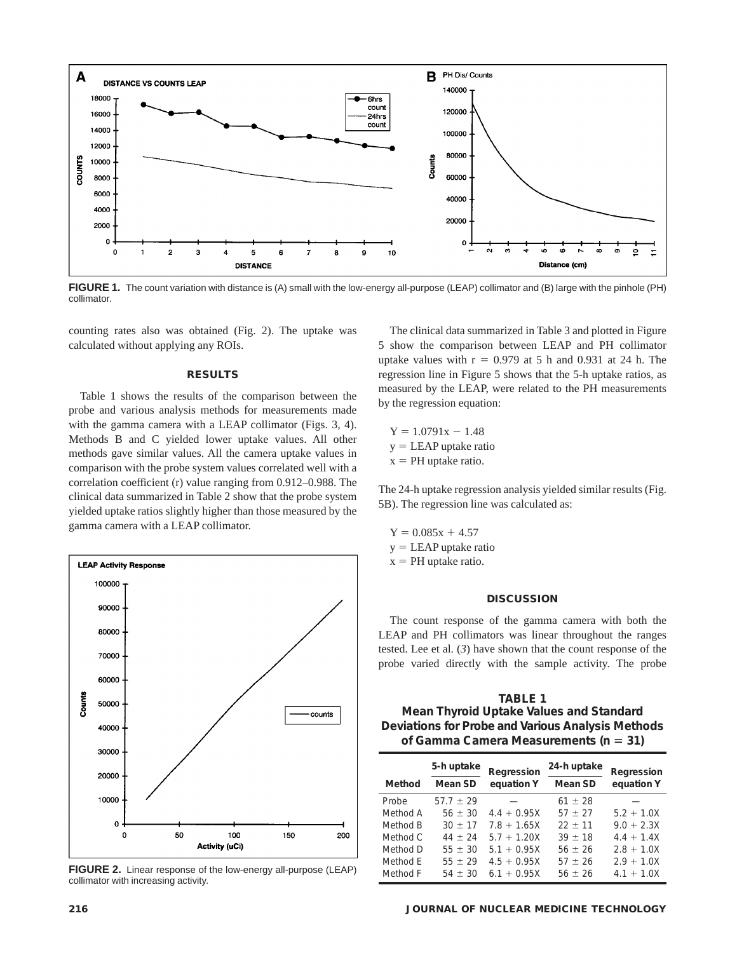

**FIGURE 1.** The count variation with distance is (A) small with the low-energy all-purpose (LEAP) collimator and (B) large with the pinhole (PH) collimator.

counting rates also was obtained (Fig. 2). The uptake was calculated without applying any ROIs.

#### **RESULTS**

Table 1 shows the results of the comparison between the probe and various analysis methods for measurements made with the gamma camera with a LEAP collimator (Figs. 3, 4). Methods B and C yielded lower uptake values. All other methods gave similar values. All the camera uptake values in comparison with the probe system values correlated well with a correlation coefficient (r) value ranging from 0.912–0.988. The clinical data summarized in Table 2 show that the probe system yielded uptake ratios slightly higher than those measured by the gamma camera with a LEAP collimator.



**FIGURE 2.** Linear response of the low-energy all-purpose (LEAP) collimator with increasing activity.

The clinical data summarized in Table 3 and plotted in Figure 5 show the comparison between LEAP and PH collimator uptake values with  $r = 0.979$  at 5 h and 0.931 at 24 h. The regression line in Figure 5 shows that the 5-h uptake ratios, as measured by the LEAP, were related to the PH measurements by the regression equation:

 $Y = 1.0791x - 1.48$  $y = LEAP$  uptake ratio  $x = PH$  uptake ratio.

The 24-h uptake regression analysis yielded similar results (Fig. 5B). The regression line was calculated as:

 $Y = 0.085x + 4.57$  $y = LEAP$  uptake ratio  $x = PH$  uptake ratio.

## **DISCUSSION**

The count response of the gamma camera with both the LEAP and PH collimators was linear throughout the ranges tested. Lee et al. (*3*) have shown that the count response of the probe varied directly with the sample activity. The probe

**TABLE 1 Mean Thyroid Uptake Values and Standard Deviations for Probe and Various Analysis Methods of Gamma Camera Measurements (n = 31)** 

|          | 5-h uptake    | Regression    | 24-h uptake | Regression   |  |
|----------|---------------|---------------|-------------|--------------|--|
| Method   | Mean SD       | equation Y    | Mean SD     | equation Y   |  |
| Probe    | $57.7 \pm 29$ |               | $61 + 28$   |              |  |
| Method A | $56 \pm 30$   | $4.4 + 0.95X$ | $57 + 27$   | $5.2 + 1.0X$ |  |
| Method B | $30 + 17$     | $7.8 + 1.65X$ | $22 + 11$   | $90 + 23X$   |  |
| Method C | $44 \pm 24$   | $5.7 + 1.20X$ | $39 \pm 18$ | $4.4 + 1.4X$ |  |
| Method D | $55 \pm 30$   | $5.1 + 0.95X$ | $56 \pm 26$ | $2.8 + 1.0X$ |  |
| Method F | $55 + 29$     | $4.5 + 0.95X$ | $57 + 26$   | $29 + 10X$   |  |
| Method F | $54 + 30$     | $6.1 + 0.95X$ | $56 + 26$   | $4.1 + 1.0X$ |  |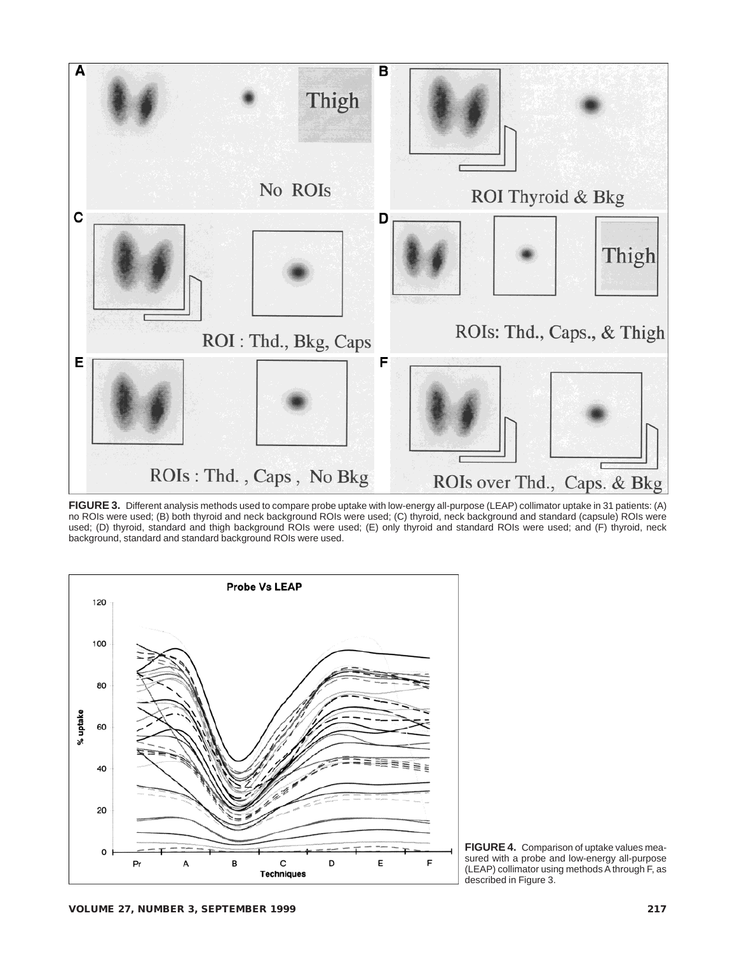

**FIGURE 3.** Different analysis methods used to compare probe uptake with low-energy all-purpose (LEAP) collimator uptake in 31 patients: (A) no ROIs were used; (B) both thyroid and neck background ROIs were used; (C) thyroid, neck background and standard (capsule) ROIs were used; (D) thyroid, standard and thigh background ROIs were used; (E) only thyroid and standard ROIs were used; and (F) thyroid, neck background, standard and standard background ROIs were used.



**FIGURE 4.** Comparison of uptake values measured with a probe and low-energy all-purpose (LEAP) collimator using methods A through F, as described in Figure 3.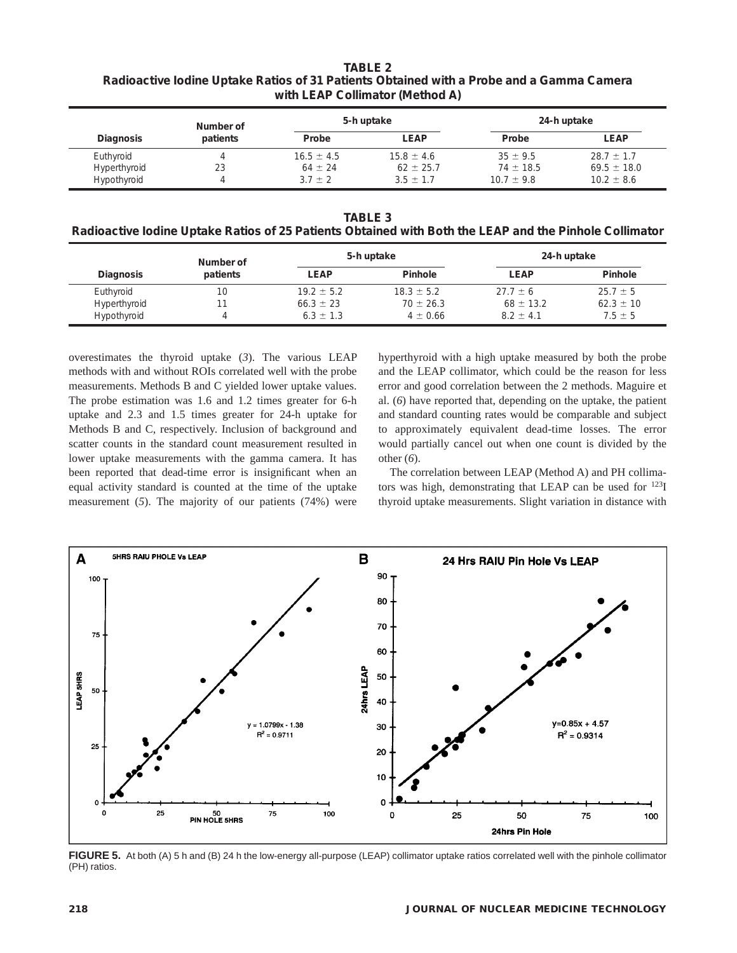**TABLE 2 Radioactive Iodine Uptake Ratios of 31 Patients Obtained with a Probe and a Gamma Camera with LEAP Collimator (Method A)**

|                  | Number of<br>patients | 5-h uptake     |                | 24-h uptake    |                 |
|------------------|-----------------------|----------------|----------------|----------------|-----------------|
| <b>Diagnosis</b> |                       | Probe          | LEAP           | Probe          | <b>LEAP</b>     |
| Euthyroid        |                       | $16.5 \pm 4.5$ | $15.8 \pm 4.6$ | $35 \pm 9.5$   | $28.7 \pm 1.7$  |
| Hyperthyroid     | 23                    | $64 \pm 24$    | $62 \pm 25.7$  | $74 \pm 18.5$  | $69.5 \pm 18.0$ |
| Hypothyroid      |                       | $3.7 \pm 2$    | $3.5 \pm 1.7$  | $10.7 \pm 9.8$ | $10.2 \pm 8.6$  |

**TABLE 3**

**Radioactive Iodine Uptake Ratios of 25 Patients Obtained with Both the LEAP and the Pinhole Collimator**

|                  | Number of<br>patients | 5-h uptake     |                | 24-h uptake   |               |
|------------------|-----------------------|----------------|----------------|---------------|---------------|
| <b>Diagnosis</b> |                       | <b>LEAP</b>    | Pinhole        | LEAP          | Pinhole       |
| Euthyroid        | 10                    | $19.2 \pm 5.2$ | $18.3 \pm 5.2$ | $27.7 \pm 6$  | $25.7 \pm 5$  |
| Hyperthyroid     |                       | $66.3 \pm 23$  | $70 \pm 26.3$  | $68 \pm 13.2$ | $62.3 \pm 10$ |
| Hypothyroid      |                       | $6.3 \pm 1.3$  | $4 \pm 0.66$   | $8.2 \pm 4.1$ | $7.5 \pm 5$   |

overestimates the thyroid uptake (*3*). The various LEAP methods with and without ROIs correlated well with the probe measurements. Methods B and C yielded lower uptake values. The probe estimation was 1.6 and 1.2 times greater for 6-h uptake and 2.3 and 1.5 times greater for 24-h uptake for Methods B and C, respectively. Inclusion of background and scatter counts in the standard count measurement resulted in lower uptake measurements with the gamma camera. It has been reported that dead-time error is insignificant when an equal activity standard is counted at the time of the uptake measurement (*5*). The majority of our patients (74%) were hyperthyroid with a high uptake measured by both the probe and the LEAP collimator, which could be the reason for less error and good correlation between the 2 methods. Maguire et al. (*6*) have reported that, depending on the uptake, the patient and standard counting rates would be comparable and subject to approximately equivalent dead-time losses. The error would partially cancel out when one count is divided by the other (*6*).

The correlation between LEAP (Method A) and PH collimators was high, demonstrating that LEAP can be used for 123I thyroid uptake measurements. Slight variation in distance with



**FIGURE 5.** At both (A) 5 h and (B) 24 h the low-energy all-purpose (LEAP) collimator uptake ratios correlated well with the pinhole collimator (PH) ratios.